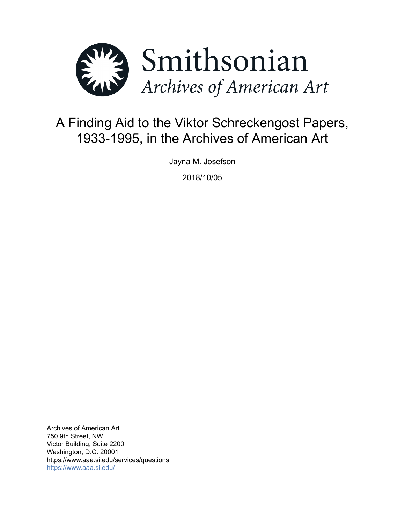

# A Finding Aid to the Viktor Schreckengost Papers, 1933-1995, in the Archives of American Art

Jayna M. Josefson

2018/10/05

Archives of American Art 750 9th Street, NW Victor Building, Suite 2200 Washington, D.C. 20001 https://www.aaa.si.edu/services/questions <https://www.aaa.si.edu/>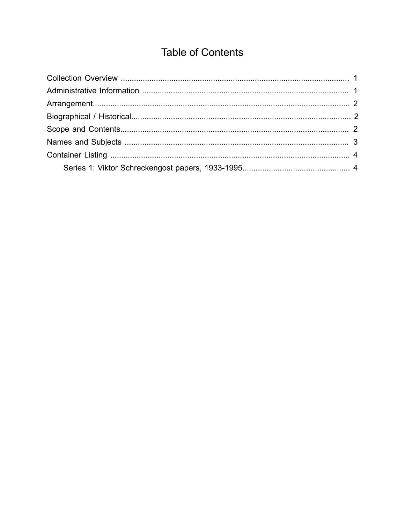# **Table of Contents**

<span id="page-1-0"></span>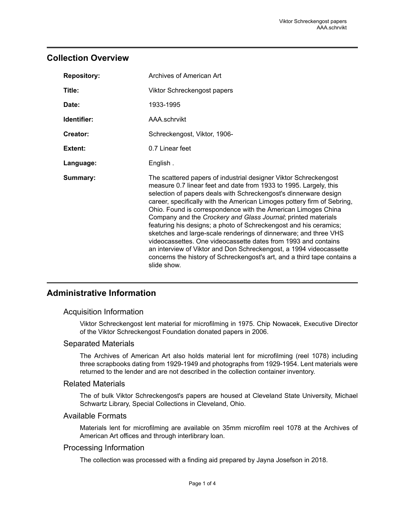## <span id="page-2-0"></span>**Collection Overview**

| <b>Repository:</b> | Archives of American Art                                                                                                                                                                                                                                                                                                                                                                                                                                                                                                                                                                                                                                                                                                                                                                           |
|--------------------|----------------------------------------------------------------------------------------------------------------------------------------------------------------------------------------------------------------------------------------------------------------------------------------------------------------------------------------------------------------------------------------------------------------------------------------------------------------------------------------------------------------------------------------------------------------------------------------------------------------------------------------------------------------------------------------------------------------------------------------------------------------------------------------------------|
| Title:             | Viktor Schreckengost papers                                                                                                                                                                                                                                                                                                                                                                                                                                                                                                                                                                                                                                                                                                                                                                        |
| Date:              | 1933-1995                                                                                                                                                                                                                                                                                                                                                                                                                                                                                                                                                                                                                                                                                                                                                                                          |
| Identifier:        | AAA schrvikt                                                                                                                                                                                                                                                                                                                                                                                                                                                                                                                                                                                                                                                                                                                                                                                       |
| Creator:           | Schreckengost, Viktor, 1906-                                                                                                                                                                                                                                                                                                                                                                                                                                                                                                                                                                                                                                                                                                                                                                       |
| Extent:            | 0.7 Linear feet                                                                                                                                                                                                                                                                                                                                                                                                                                                                                                                                                                                                                                                                                                                                                                                    |
| Language:          | English.                                                                                                                                                                                                                                                                                                                                                                                                                                                                                                                                                                                                                                                                                                                                                                                           |
| Summary:           | The scattered papers of industrial designer Viktor Schreckengost<br>measure 0.7 linear feet and date from 1933 to 1995. Largely, this<br>selection of papers deals with Schreckengost's dinnerware design<br>career, specifically with the American Limoges pottery firm of Sebring,<br>Ohio. Found is correspondence with the American Limoges China<br>Company and the Crockery and Glass Journal; printed materials<br>featuring his designs; a photo of Schreckengost and his ceramics;<br>sketches and large-scale renderings of dinnerware; and three VHS<br>videocassettes. One videocassette dates from 1993 and contains<br>an interview of Viktor and Don Schreckengost, a 1994 videocassette<br>concerns the history of Schreckengost's art, and a third tape contains a<br>slide show. |

## <span id="page-2-1"></span>**Administrative Information**

## Acquisition Information

Viktor Schreckengost lent material for microfilming in 1975. Chip Nowacek, Executive Director of the Viktor Schreckengost Foundation donated papers in 2006.

### Separated Materials

The Archives of American Art also holds material lent for microfilming (reel 1078) including three scrapbooks dating from 1929-1949 and photographs from 1929-1954. Lent materials were returned to the lender and are not described in the collection container inventory.

### Related Materials

The of bulk Viktor Schreckengost's papers are housed at Cleveland State University, Michael Schwartz Library, Special Collections in Cleveland, Ohio.

### Available Formats

Materials lent for microfilming are available on 35mm microfilm reel 1078 at the Archives of American Art offices and through interlibrary loan.

### Processing Information

The collection was processed with a finding aid prepared by Jayna Josefson in 2018.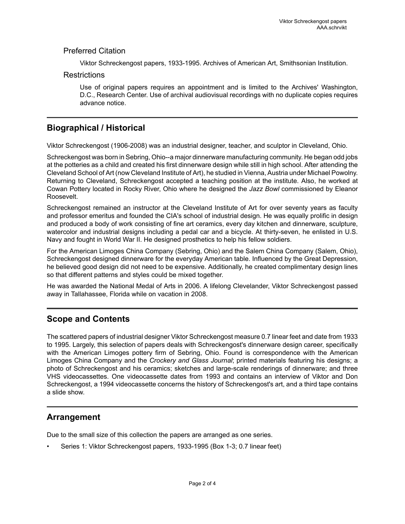## Preferred Citation

Viktor Schreckengost papers, 1933-1995. Archives of American Art, Smithsonian Institution.

### Restrictions

Use of original papers requires an appointment and is limited to the Archives' Washington, D.C., Research Center. Use of archival audiovisual recordings with no duplicate copies requires advance notice.

# <span id="page-3-1"></span>**Biographical / Historical**

Viktor Schreckengost (1906-2008) was an industrial designer, teacher, and sculptor in Cleveland, Ohio.

Schreckengost was born in Sebring, Ohio--a major dinnerware manufacturing community. He began odd jobs at the potteries as a child and created his first dinnerware design while still in high school. After attending the Cleveland School of Art (now Cleveland Institute of Art), he studied in Vienna, Austria under Michael Powolny. Returning to Cleveland, Schreckengost accepted a teaching position at the institute. Also, he worked at Cowan Pottery located in Rocky River, Ohio where he designed the *Jazz Bowl* commissioned by Eleanor Roosevelt.

Schreckengost remained an instructor at the Cleveland Institute of Art for over seventy years as faculty and professor emeritus and founded the CIA's school of industrial design. He was equally prolific in design and produced a body of work consisting of fine art ceramics, every day kitchen and dinnerware, sculpture, watercolor and industrial designs including a pedal car and a bicycle. At thirty-seven, he enlisted in U.S. Navy and fought in World War II. He designed prosthetics to help his fellow soldiers.

For the American Limoges China Company (Sebring, Ohio) and the Salem China Company (Salem, Ohio), Schreckengost designed dinnerware for the everyday American table. Influenced by the Great Depression, he believed good design did not need to be expensive. Additionally, he created complimentary design lines so that different patterns and styles could be mixed together.

He was awarded the National Medal of Arts in 2006. A lifelong Clevelander, Viktor Schreckengost passed away in Tallahassee, Florida while on vacation in 2008.

# <span id="page-3-2"></span>**Scope and Contents**

The scattered papers of industrial designer Viktor Schreckengost measure 0.7 linear feet and date from 1933 to 1995. Largely, this selection of papers deals with Schreckengost's dinnerware design career, specifically with the American Limoges pottery firm of Sebring, Ohio. Found is correspondence with the American Limoges China Company and the *Crockery and Glass Journal*; printed materials featuring his designs; a photo of Schreckengost and his ceramics; sketches and large-scale renderings of dinnerware; and three VHS videocassettes. One videocassette dates from 1993 and contains an interview of Viktor and Don Schreckengost, a 1994 videocassette concerns the history of Schreckengost's art, and a third tape contains a slide show.

# <span id="page-3-0"></span>**Arrangement**

Due to the small size of this collection the papers are arranged as one series.

• Series 1: Viktor Schreckengost papers, 1933-1995 (Box 1-3; 0.7 linear feet)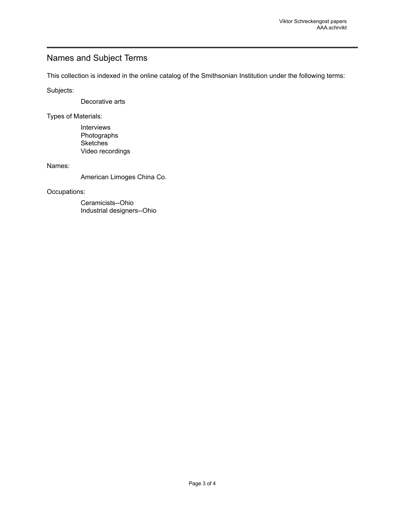# <span id="page-4-0"></span>Names and Subject Terms

This collection is indexed in the online catalog of the Smithsonian Institution under the following terms:

Subjects:

Decorative arts

Types of Materials:

Interviews Photographs **Sketches** Video recordings

Names:

American Limoges China Co.

Occupations:

Ceramicists--Ohio Industrial designers--Ohio